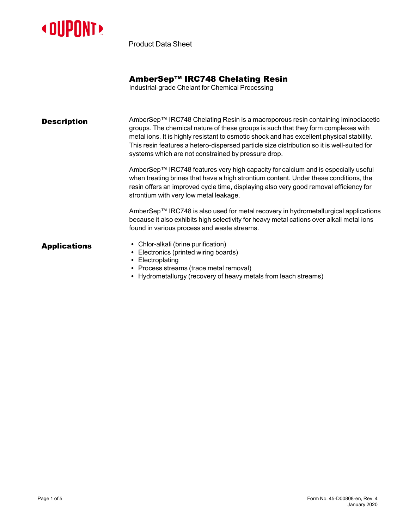

Product Data Sheet

## AmberSep™ IRC748 Chelating Resin

Industrial-grade Chelant for Chemical Processing

**Description** AmberSep™ IRC748 Chelating Resin is a macroporous resin containing iminodiacetic groups. The chemical nature of these groups is such that they form complexes with metal ions. It is highly resistant to osmotic shock and has excellent physical stability. This resin features a hetero-dispersed particle size distribution so it is well-suited for systems which are not constrained by pressure drop.

> AmberSep™ IRC748 features very high capacity for calcium and is especially useful when treating brines that have a high strontium content. Under these conditions, the resin offers an improved cycle time, displaying also very good removal efficiency for strontium with very low metal leakage.

AmberSep™ IRC748 is also used for metal recovery in hydrometallurgical applications because it also exhibits high selectivity for heavy metal cations over alkali metal ions found in various process and waste streams.

- **Applications** Chlor-alkali (brine purification)
	- Electronics (printed wiring boards)
	- Electroplating
	- Process streams (trace metal removal)
	- Hydrometallurgy (recovery of heavy metals from leach streams)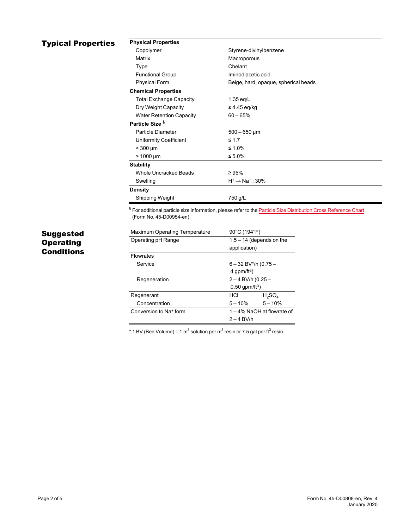## **Typical Properties**

| <b>Physical Properties</b>      |                                      |  |  |  |  |
|---------------------------------|--------------------------------------|--|--|--|--|
| Copolymer                       | Styrene-divinylbenzene               |  |  |  |  |
| Matrix                          | Macroporous                          |  |  |  |  |
| Type                            | Chelant                              |  |  |  |  |
| <b>Functional Group</b>         | Iminodiacetic acid                   |  |  |  |  |
| <b>Physical Form</b>            | Beige, hard, opaque, spherical beads |  |  |  |  |
| <b>Chemical Properties</b>      |                                      |  |  |  |  |
| <b>Total Exchange Capacity</b>  | $1.35$ eq/L                          |  |  |  |  |
| Dry Weight Capacity             | $\geq$ 4.45 eq/kg                    |  |  |  |  |
| <b>Water Retention Capacity</b> | $60 - 65%$                           |  |  |  |  |
| Particle Size §                 |                                      |  |  |  |  |
| Particle Diameter               | $500 - 650 \,\mathrm{\upmu m}$       |  |  |  |  |
| <b>Uniformity Coefficient</b>   | $\leq 1.7$                           |  |  |  |  |
| $<$ 300 µm                      | ≤ 1.0%                               |  |  |  |  |
| $> 1000 \mu m$                  | ≤ 5.0%                               |  |  |  |  |
| <b>Stability</b>                |                                      |  |  |  |  |
| Whole Uncracked Beads           | $\geq 95\%$                          |  |  |  |  |
| Swelling                        | $H^+ \rightarrow Na^+$ : 30%         |  |  |  |  |
| <b>Density</b>                  |                                      |  |  |  |  |
| Shipping Weight                 | 750 g/L                              |  |  |  |  |

§ For additional particle size information, please refer to the Particle Size [Distribution](https://www.dupont.com/content/dam/dupont/amer/us/en/water-solutions/public/documents/en/45-D00954-en.pdf) Cross Reference Chart (Form No. 45-D00954-en).

# Suggested **Operating Conditions**

| <b>Maximum Operating Temperature</b> | 90°C (194°F)                 |           |  |
|--------------------------------------|------------------------------|-----------|--|
| Operating pH Range                   | $1.5 - 14$ (depends on the   |           |  |
|                                      | application)                 |           |  |
| <b>Flowrates</b>                     |                              |           |  |
| Service                              | $6 - 32$ BV*/h (0.75 –       |           |  |
|                                      | 4 gpm/ft <sup>3</sup> )      |           |  |
| Regeneration                         | $2 - 4$ BV/h (0.25 -         |           |  |
|                                      | $0.50$ gpm/ft <sup>3</sup> ) |           |  |
| Regenerant                           | HCI                          | $H_2SO_4$ |  |
| Concentration                        | $5 - 10\%$                   | $5 - 10%$ |  |
| Conversion to Na <sup>+</sup> form   | 1-4% NaOH at flowrate of     |           |  |
|                                      | $2 - 4$ BV/h                 |           |  |

\* 1 BV (Bed Volume) = 1 m $^3$  solution per m $^3$  resin or 7.5 gal per ft $^3$  resin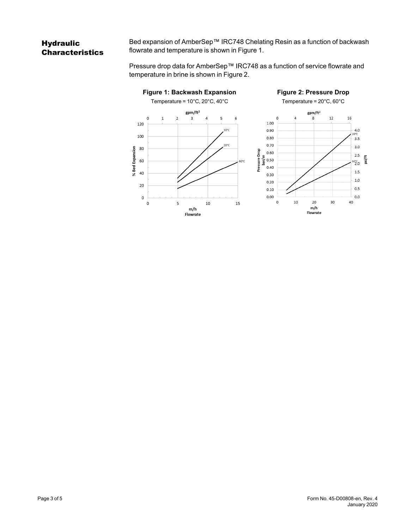# **Hydraulic Characteristics**

Bed expansion of AmberSep™ IRC748 Chelating Resin as a function of backwash flowrate and temperature is shown in [Figure 1](#page-2-0).

<span id="page-2-1"></span>Pressure drop data for AmberSep™ IRC748 as a function of service flowrate and temperature in brine is shown in [Figure 2.](#page-2-1)

<span id="page-2-0"></span>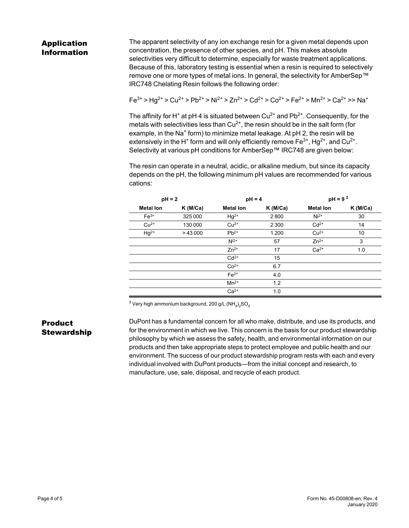# Application Information

The apparent selectivity of any ion exchange resin for a given metal depends upon concentration, the presence of other species, and pH. This makes absolute selectivities very difficult to determine, especially for waste treatment applications. Because of this, laboratory testing is essential when a resin is required to selectively remove one or more types of metal ions. In general, the selectivity for AmberSep™ IRC748 Chelating Resin follows the following order:

$$
\mathsf{Fe}^{3+} \geq \mathsf{H}g^{2+} \geq \mathsf{Cu}^{2+} \geq \mathsf{P}b^{2+} \geq \mathsf{Ni}^{2+} \geq \mathsf{Z}n^{2+} \geq \mathsf{Cd}^{2+} \geq \mathsf{Co}^{2+} \geq \mathsf{Fe}^{2+} \geq \mathsf{M}n^{2+} \geq \mathsf{Ca}^{2+} \geq \mathsf{Na}^+
$$

The affinity for H<sup>+</sup> at pH 4 is situated between Cu<sup>2+</sup> and Pb<sup>2+</sup>. Consequently, for the metals with selectivities less than  $Cu^{2+}$ , the resin should be in the salt form (for example, in the Na<sup>+</sup> form) to minimize metal leakage. At pH 2, the resin will be extensively in the H $^+$  form and will only efficiently remove Fe $^{3+}$ , Hg $^{2+}$ , and Cu $^{2+}$ . Selectivity at various pH conditions for AmberSep™ IRC748 are given below:

The resin can operate in a neutral, acidic, or alkaline medium, but since its capacity depends on the pH, the following minimum pH values are recommended for various cations:

| $pH = 2$         |            | $pH = 4$         |            | $pH = 9^{\frac{1}{4}}$ |            |
|------------------|------------|------------------|------------|------------------------|------------|
| <b>Metal lon</b> | $K$ (M/Ca) | <b>Metal lon</b> | $K$ (M/Ca) | <b>Metal lon</b>       | $K$ (M/Ca) |
| $Fe3+$           | 325 000    | $Hg^{2+}$        | 2800       | $Ni2+$                 | 30         |
| $Cu2+$           | 130 000    | $Cu2+$           | 2 3 0 0    | $Cd2+$                 | 14         |
| $Hg^{2+}$        | >43000     | $Pb^{2+}$        | 1 200      | $Cu2+$                 | 10         |
|                  |            | $N^{i2+}$        | 57         | $Zn^{2+}$              | 3          |
|                  |            | $Zn^{2+}$        | 17         | $Ca2+$                 | 1.0        |
|                  |            | $Cd2+$           | 15         |                        |            |
|                  |            | $Co2+$           | 6.7        |                        |            |
|                  |            | $Fe2+$           | 4.0        |                        |            |
|                  |            | $Mn^{2+}$        | 1.2        |                        |            |
|                  |            | $Ca2+$           | 1.0        |                        |            |

 $^\ddag$  Very high ammonium background, 200 g/L (NH $_4)_2$ SO $_4$ 

### Product Stewardship

DuPont has a fundamental concern for all who make, distribute, and use its products, and for the environment in which we live. This concern is the basis for our product stewardship philosophy by which we assess the safety, health, and environmental information on our products and then take appropriate steps to protect employee and public health and our environment. The success of our product stewardship program rests with each and every individual involved with DuPont products—from the initial concept and research, to manufacture, use, sale, disposal, and recycle of each product.